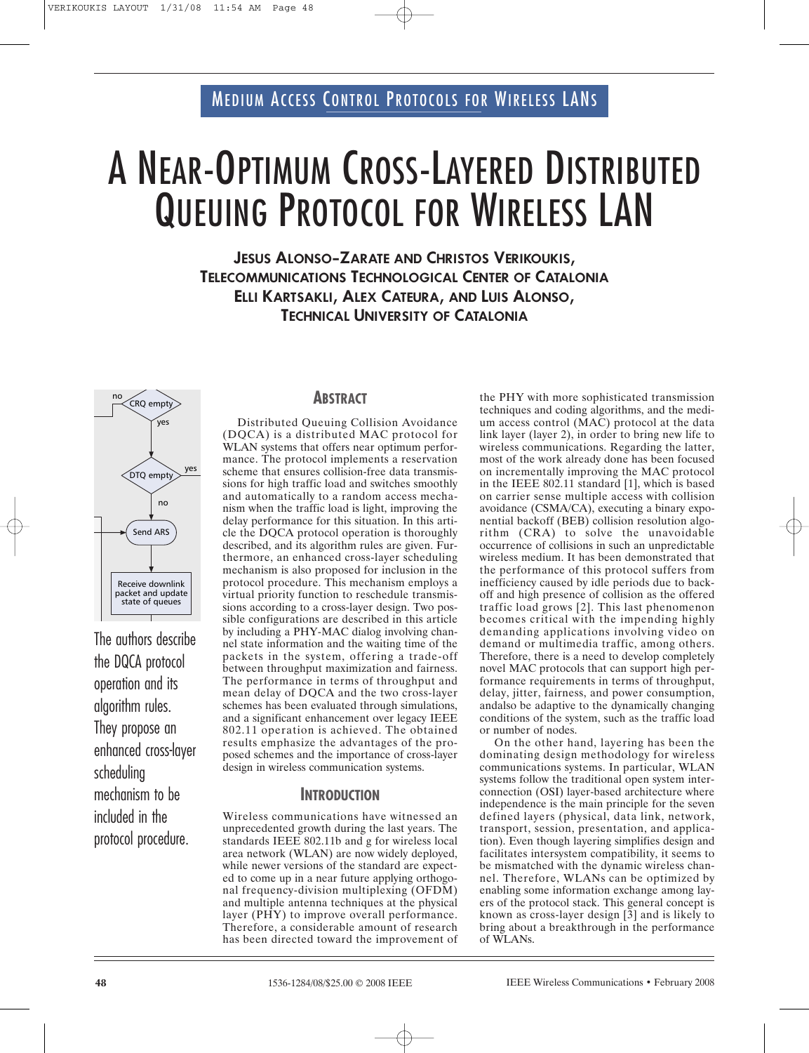# A NEAR-OPTIMUM CROSS-LAYERED DISTRIBUTED QUEUING PROTOCOL FOR WIRELESS LAN

**JESUS ALONSO-ZARATE AND CHRISTOS VERIKOUKIS, TELECOMMUNICATIONS TECHNOLOGICAL CENTER OF CATALONIA ELLI KARTSAKLI, ALEX CATEURA, AND LUIS ALONSO, TECHNICAL UNIVERSITY OF CATALONIA**



The authors describe the DQCA protocol operation and its algorithm rules. They propose an enhanced cross-layer scheduling mechanism to be included in the protocol procedure.

## **ABSTRACT**

Distributed Queuing Collision Avoidance (DQCA) is a distributed MAC protocol for WLAN systems that offers near optimum performance. The protocol implements a reservation scheme that ensures collision-free data transmissions for high traffic load and switches smoothly and automatically to a random access mechanism when the traffic load is light, improving the delay performance for this situation. In this article the DQCA protocol operation is thoroughly described, and its algorithm rules are given. Furthermore, an enhanced cross-layer scheduling mechanism is also proposed for inclusion in the protocol procedure. This mechanism employs a virtual priority function to reschedule transmissions according to a cross-layer design. Two possible configurations are described in this article by including a PHY-MAC dialog involving channel state information and the waiting time of the packets in the system, offering a trade-off between throughput maximization and fairness. The performance in terms of throughput and mean delay of DQCA and the two cross-layer schemes has been evaluated through simulations, and a significant enhancement over legacy IEEE 802.11 operation is achieved. The obtained results emphasize the advantages of the proposed schemes and the importance of cross-layer design in wireless communication systems.

## **INTRODUCTION**

Wireless communications have witnessed an unprecedented growth during the last years. The standards IEEE 802.11b and g for wireless local area network (WLAN) are now widely deployed, while newer versions of the standard are expected to come up in a near future applying orthogonal frequency-division multiplexing (OFDM) and multiple antenna techniques at the physical layer (PHY) to improve overall performance. Therefore, a considerable amount of research has been directed toward the improvement of

the PHY with more sophisticated transmission techniques and coding algorithms, and the medium access control (MAC) protocol at the data link layer (layer 2), in order to bring new life to wireless communications. Regarding the latter, most of the work already done has been focused on incrementally improving the MAC protocol in the IEEE 802.11 standard [1], which is based on carrier sense multiple access with collision avoidance (CSMA/CA), executing a binary exponential backoff (BEB) collision resolution algorithm (CRA) to solve the unavoidable occurrence of collisions in such an unpredictable wireless medium. It has been demonstrated that the performance of this protocol suffers from inefficiency caused by idle periods due to backoff and high presence of collision as the offered traffic load grows [2]. This last phenomenon becomes critical with the impending highly demanding applications involving video on demand or multimedia traffic, among others. Therefore, there is a need to develop completely novel MAC protocols that can support high performance requirements in terms of throughput, delay, jitter, fairness, and power consumption, andalso be adaptive to the dynamically changing conditions of the system, such as the traffic load or number of nodes.

On the other hand, layering has been the dominating design methodology for wireless communications systems. In particular, WLAN systems follow the traditional open system interconnection (OSI) layer-based architecture where independence is the main principle for the seven defined layers (physical, data link, network, transport, session, presentation, and application). Even though layering simplifies design and facilitates intersystem compatibility, it seems to be mismatched with the dynamic wireless channel. Therefore, WLANs can be optimized by enabling some information exchange among layers of the protocol stack. This general concept is known as cross-layer design [3] and is likely to bring about a breakthrough in the performance of WLANs.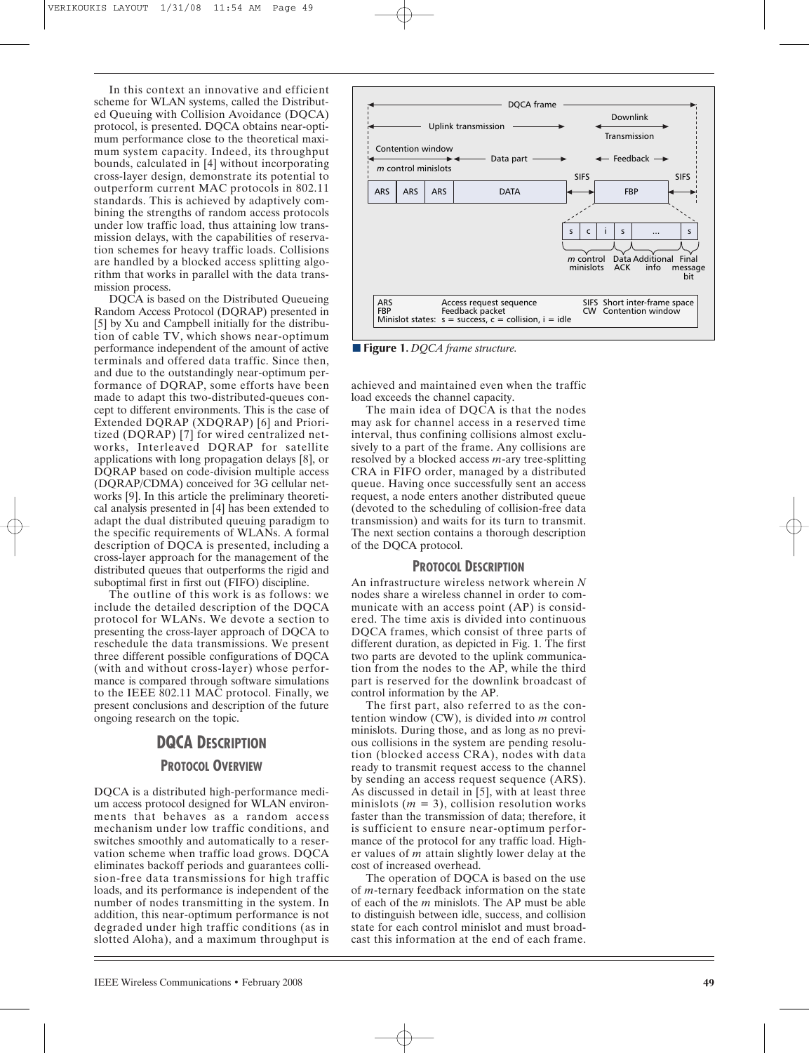In this context an innovative and efficient scheme for WLAN systems, called the Distributed Queuing with Collision Avoidance (DQCA) protocol, is presented. DQCA obtains near-optimum performance close to the theoretical maximum system capacity. Indeed, its throughput bounds, calculated in [4] without incorporating cross-layer design, demonstrate its potential to outperform current MAC protocols in 802.11 standards. This is achieved by adaptively combining the strengths of random access protocols under low traffic load, thus attaining low transmission delays, with the capabilities of reservation schemes for heavy traffic loads. Collisions are handled by a blocked access splitting algorithm that works in parallel with the data transmission process.

DQCA is based on the Distributed Queueing Random Access Protocol (DQRAP) presented in [5] by Xu and Campbell initially for the distribution of cable TV, which shows near-optimum performance independent of the amount of active terminals and offered data traffic. Since then, and due to the outstandingly near-optimum performance of DQRAP, some efforts have been made to adapt this two-distributed-queues concept to different environments. This is the case of Extended DQRAP (XDQRAP) [6] and Prioritized (DQRAP) [7] for wired centralized networks, Interleaved DQRAP for satellite applications with long propagation delays [8], or DQRAP based on code-division multiple access (DQRAP/CDMA) conceived for 3G cellular networks [9]. In this article the preliminary theoretical analysis presented in [4] has been extended to adapt the dual distributed queuing paradigm to the specific requirements of WLANs. A formal description of DQCA is presented, including a cross-layer approach for the management of the distributed queues that outperforms the rigid and suboptimal first in first out (FIFO) discipline.

The outline of this work is as follows: we include the detailed description of the DQCA protocol for WLANs. We devote a section to presenting the cross-layer approach of DQCA to reschedule the data transmissions. We present three different possible configurations of DQCA (with and without cross-layer) whose performance is compared through software simulations to the IEEE 802.11 MAC protocol. Finally, we present conclusions and description of the future ongoing research on the topic.

# **DQCA DESCRIPTION PROTOCOL OVERVIEW**

DQCA is a distributed high-performance medium access protocol designed for WLAN environments that behaves as a random access mechanism under low traffic conditions, and switches smoothly and automatically to a reservation scheme when traffic load grows. DQCA eliminates backoff periods and guarantees collision-free data transmissions for high traffic loads, and its performance is independent of the number of nodes transmitting in the system. In addition, this near-optimum performance is not degraded under high traffic conditions (as in slotted Aloha), and a maximum throughput is



■ **Figure 1.** *DOCA frame structure.* 

achieved and maintained even when the traffic load exceeds the channel capacity.

The main idea of DQCA is that the nodes may ask for channel access in a reserved time interval, thus confining collisions almost exclusively to a part of the frame. Any collisions are resolved by a blocked access *m*-ary tree-splitting CRA in FIFO order, managed by a distributed queue. Having once successfully sent an access request, a node enters another distributed queue (devoted to the scheduling of collision-free data transmission) and waits for its turn to transmit. The next section contains a thorough description of the DQCA protocol.

### **PROTOCOL DESCRIPTION**

An infrastructure wireless network wherein *N* nodes share a wireless channel in order to communicate with an access point (AP) is considered. The time axis is divided into continuous DQCA frames, which consist of three parts of different duration, as depicted in Fig. 1. The first two parts are devoted to the uplink communication from the nodes to the AP, while the third part is reserved for the downlink broadcast of control information by the AP.

The first part, also referred to as the contention window (CW), is divided into *m* control minislots. During those, and as long as no previous collisions in the system are pending resolution (blocked access CRA), nodes with data ready to transmit request access to the channel by sending an access request sequence (ARS). As discussed in detail in [5], with at least three minislots (*m* = 3), collision resolution works faster than the transmission of data; therefore, it is sufficient to ensure near-optimum performance of the protocol for any traffic load. Higher values of *m* attain slightly lower delay at the cost of increased overhead.

The operation of DQCA is based on the use of *m*-ternary feedback information on the state of each of the *m* minislots. The AP must be able to distinguish between idle, success, and collision state for each control minislot and must broadcast this information at the end of each frame.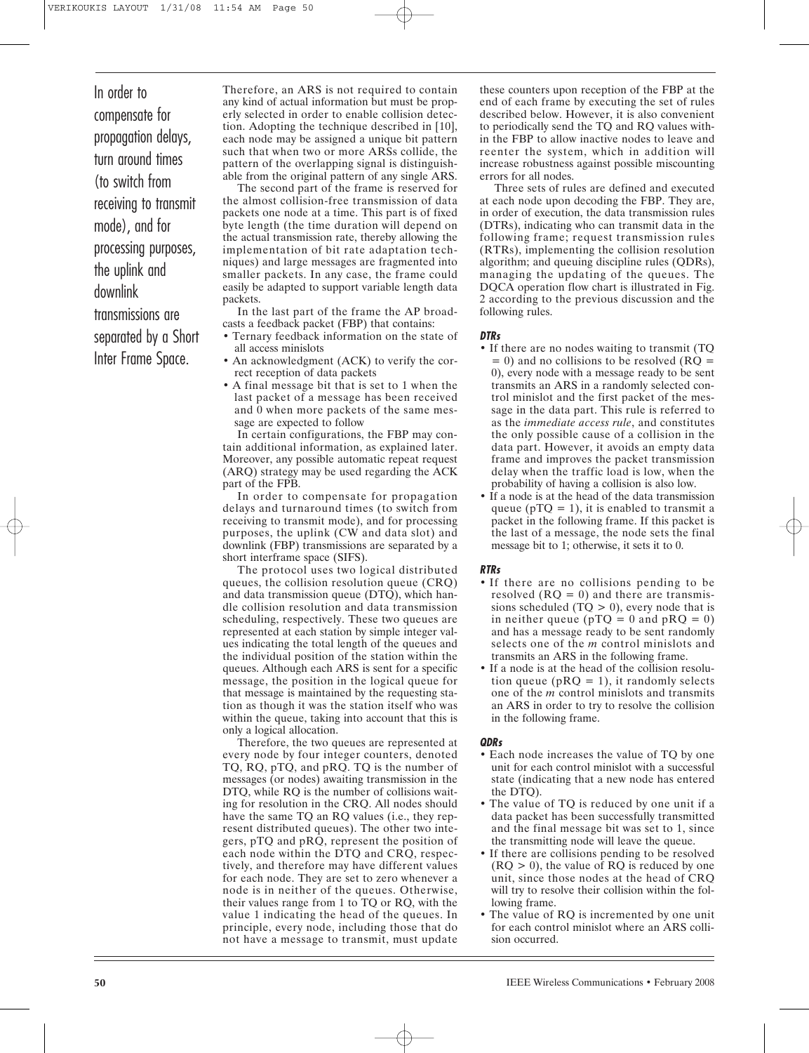In order to compensate for propagation delays, turn around times (to switch from receiving to transmit mode), and for processing purposes, the uplink and downlink transmissions are separated by a Short Inter Frame Space.

Therefore, an ARS is not required to contain any kind of actual information but must be properly selected in order to enable collision detection. Adopting the technique described in [10], each node may be assigned a unique bit pattern such that when two or more ARSs collide, the pattern of the overlapping signal is distinguishable from the original pattern of any single ARS.

The second part of the frame is reserved for the almost collision-free transmission of data packets one node at a time. This part is of fixed byte length (the time duration will depend on the actual transmission rate, thereby allowing the implementation of bit rate adaptation techniques) and large messages are fragmented into smaller packets. In any case, the frame could easily be adapted to support variable length data packets.

In the last part of the frame the AP broadcasts a feedback packet (FBP) that contains:

- Ternary feedback information on the state of all access minislots
- An acknowledgment (ACK) to verify the correct reception of data packets
- A final message bit that is set to 1 when the last packet of a message has been received and 0 when more packets of the same message are expected to follow

In certain configurations, the FBP may contain additional information, as explained later. Moreover, any possible automatic repeat request (ARQ) strategy may be used regarding the ACK part of the FPB.

In order to compensate for propagation delays and turnaround times (to switch from receiving to transmit mode), and for processing purposes, the uplink (CW and data slot) and downlink (FBP) transmissions are separated by a short interframe space (SIFS).

The protocol uses two logical distributed queues, the collision resolution queue (CRQ) and data transmission queue (DTQ), which handle collision resolution and data transmission scheduling, respectively. These two queues are represented at each station by simple integer values indicating the total length of the queues and the individual position of the station within the queues. Although each ARS is sent for a specific message, the position in the logical queue for that message is maintained by the requesting station as though it was the station itself who was within the queue, taking into account that this is only a logical allocation.

Therefore, the two queues are represented at every node by four integer counters, denoted TQ, RQ, pTQ, and pRQ. TQ is the number of messages (or nodes) awaiting transmission in the DTQ, while RQ is the number of collisions waiting for resolution in the CRQ. All nodes should have the same TQ an RQ values (i.e., they represent distributed queues). The other two integers, pTQ and pRQ, represent the position of each node within the DTQ and CRQ, respectively, and therefore may have different values for each node. They are set to zero whenever a node is in neither of the queues. Otherwise, their values range from 1 to TQ or RQ, with the value 1 indicating the head of the queues. In principle, every node, including those that do not have a message to transmit, must update

these counters upon reception of the FBP at the end of each frame by executing the set of rules described below. However, it is also convenient to periodically send the TQ and RQ values within the FBP to allow inactive nodes to leave and reenter the system, which in addition will increase robustness against possible miscounting errors for all nodes.

Three sets of rules are defined and executed at each node upon decoding the FBP. They are, in order of execution, the data transmission rules (DTRs), indicating who can transmit data in the following frame; request transmission rules (RTRs), implementing the collision resolution algorithm; and queuing discipline rules (QDRs), managing the updating of the queues. The DQCA operation flow chart is illustrated in Fig. 2 according to the previous discussion and the following rules.

### **DTRs**

- If there are no nodes waiting to transmit (TQ  $= 0$ ) and no collisions to be resolved (RQ  $=$ 0), every node with a message ready to be sent transmits an ARS in a randomly selected control minislot and the first packet of the message in the data part. This rule is referred to as the *immediate access rule*, and constitutes the only possible cause of a collision in the data part. However, it avoids an empty data frame and improves the packet transmission delay when the traffic load is low, when the probability of having a collision is also low.
- If a node is at the head of the data transmission queue ( $pTQ = 1$ ), it is enabled to transmit a packet in the following frame. If this packet is the last of a message, the node sets the final message bit to 1; otherwise, it sets it to 0.

### **RTRs**

- If there are no collisions pending to be resolved  $(RQ = 0)$  and there are transmissions scheduled  $(TQ > 0)$ , every node that is in neither queue ( $pTQ = 0$  and  $pRQ = 0$ ) and has a message ready to be sent randomly selects one of the *m* control minislots and transmits an ARS in the following frame.
- If a node is at the head of the collision resolution queue ( $pRQ = 1$ ), it randomly selects one of the *m* control minislots and transmits an ARS in order to try to resolve the collision in the following frame.

#### **QDRs**

- Each node increases the value of TQ by one unit for each control minislot with a successful state (indicating that a new node has entered the DTQ).
- The value of TQ is reduced by one unit if a data packet has been successfully transmitted and the final message bit was set to 1, since the transmitting node will leave the queue.
- If there are collisions pending to be resolved  $($ RQ  $>$  0 $)$ , the value of RQ is reduced by one unit, since those nodes at the head of CRQ will try to resolve their collision within the following frame.
- The value of RQ is incremented by one unit for each control minislot where an ARS collision occurred.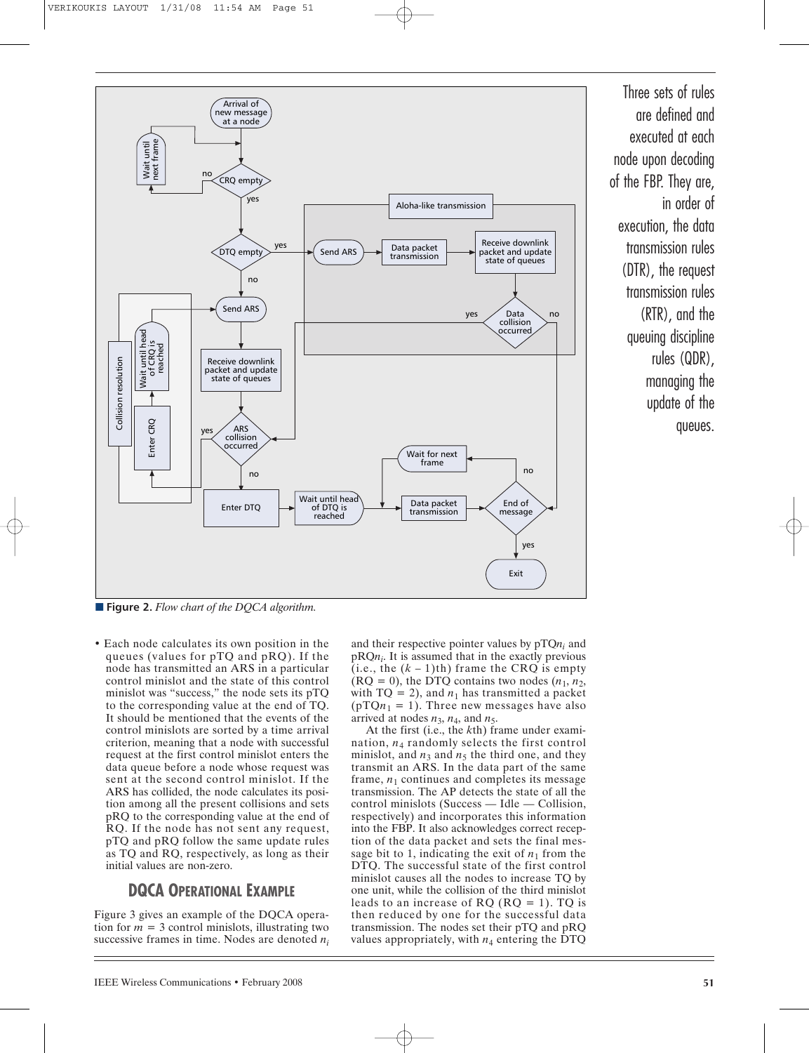

Three sets of rules are defined and executed at each node upon decoding of the FBP. They are, in order of execution, the data transmission rules (DTR), the request transmission rules (RTR), and the queuing discipline rules (QDR), managing the update of the queues.

■ **Figure 2.** *Flow chart of the DQCA algorithm.* 

• Each node calculates its own position in the queues (values for pTQ and pRQ). If the node has transmitted an ARS in a particular control minislot and the state of this control minislot was "success," the node sets its pTQ to the corresponding value at the end of TQ. It should be mentioned that the events of the control minislots are sorted by a time arrival criterion, meaning that a node with successful request at the first control minislot enters the data queue before a node whose request was sent at the second control minislot. If the ARS has collided, the node calculates its position among all the present collisions and sets pRQ to the corresponding value at the end of RQ. If the node has not sent any request, pTQ and pRQ follow the same update rules as TQ and RQ, respectively, as long as their initial values are non-zero.

## **DQCA OPERATIONAL EXAMPLE**

Figure 3 gives an example of the DQCA operation for  $m = 3$  control minislots, illustrating two successive frames in time. Nodes are denoted *ni* and their respective pointer values by pTQ*ni* and pRQ*ni*. It is assumed that in the exactly previous (i.e., the  $(k - 1)$ th) frame the CRQ is empty  $(RQ = 0)$ , the DTQ contains two nodes  $(n_1, n_2)$ , with  $TQ = 2$ ), and  $n_1$  has transmitted a packet  $(pTQn_1 = 1)$ . Three new messages have also arrived at nodes  $n_3$ ,  $n_4$ , and  $n_5$ .

At the first (i.e., the *k*th) frame under examination, *n*<sup>4</sup> randomly selects the first control minislot, and  $n_3$  and  $n_5$  the third one, and they transmit an ARS. In the data part of the same frame,  $n_1$  continues and completes its message transmission. The AP detects the state of all the control minislots (Success — Idle — Collision, respectively) and incorporates this information into the FBP. It also acknowledges correct reception of the data packet and sets the final message bit to 1, indicating the exit of  $n_1$  from the DTQ. The successful state of the first control minislot causes all the nodes to increase TQ by one unit, while the collision of the third minislot leads to an increase of  $RO (RO = 1)$ . TO is then reduced by one for the successful data transmission. The nodes set their pTQ and pRQ values appropriately, with  $n_4$  entering the DTQ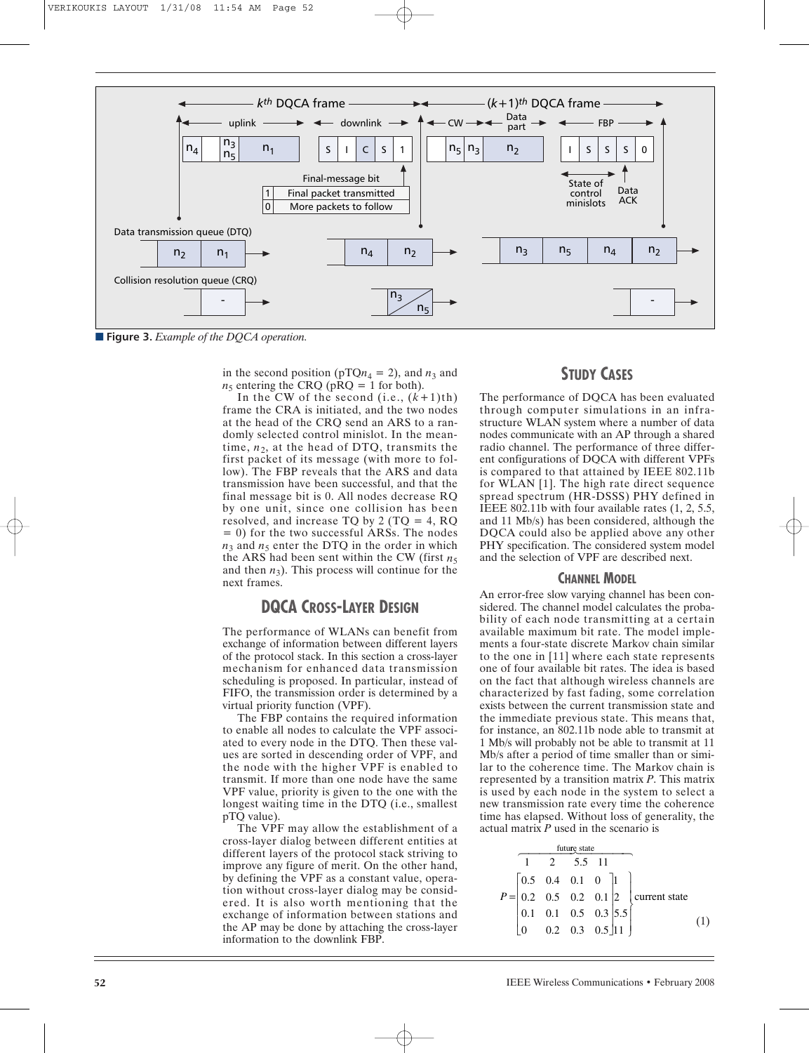

■ **Figure 3.** *Example of the DOCA operation.* 

in the second position ( $pTQn_4 = 2$ ), and  $n_3$  and  $n_5$  entering the CRO ( $p\overline{RO} = 1$  for both).

In the CW of the second (i.e.,  $(k+1)$ th) frame the CRA is initiated, and the two nodes at the head of the CRQ send an ARS to a randomly selected control minislot. In the meantime,  $n_2$ , at the head of DTQ, transmits the first packet of its message (with more to follow). The FBP reveals that the ARS and data transmission have been successful, and that the final message bit is 0. All nodes decrease RQ by one unit, since one collision has been resolved, and increase TQ by  $2$  (TQ = 4, RQ  $= 0$ ) for the two successful ARSs. The nodes  $n_3$  and  $n_5$  enter the DTQ in the order in which the ARS had been sent within the CW (first  $n_5$ ) and then  $n_3$ ). This process will continue for the next frames.

# **DQCA CROSS-LAYER DESIGN**

The performance of WLANs can benefit from exchange of information between different layers of the protocol stack. In this section a cross-layer mechanism for enhanced data transmission scheduling is proposed. In particular, instead of FIFO, the transmission order is determined by a virtual priority function (VPF).

The FBP contains the required information to enable all nodes to calculate the VPF associated to every node in the DTQ. Then these values are sorted in descending order of VPF, and the node with the higher VPF is enabled to transmit. If more than one node have the same VPF value, priority is given to the one with the longest waiting time in the DTQ (i.e., smallest pTQ value).

The VPF may allow the establishment of a cross-layer dialog between different entities at different layers of the protocol stack striving to improve any figure of merit. On the other hand, by defining the VPF as a constant value, operation without cross-layer dialog may be considered. It is also worth mentioning that the exchange of information between stations and the AP may be done by attaching the cross-layer information to the downlink FBP.

## **STUDY CASES**

The performance of DQCA has been evaluated through computer simulations in an infrastructure WLAN system where a number of data nodes communicate with an AP through a shared radio channel. The performance of three different configurations of DQCA with different VPFs is compared to that attained by IEEE 802.11b for WLAN [1]. The high rate direct sequence spread spectrum (HR-DSSS) PHY defined in IEEE 802.11b with four available rates (1, 2, 5.5, and 11 Mb/s) has been considered, although the DQCA could also be applied above any other PHY specification. The considered system model and the selection of VPF are described next.

## **CHANNEL MODEL**

An error-free slow varying channel has been considered. The channel model calculates the probability of each node transmitting at a certain available maximum bit rate. The model implements a four-state discrete Markov chain similar to the one in [11] where each state represents one of four available bit rates. The idea is based on the fact that although wireless channels are characterized by fast fading, some correlation exists between the current transmission state and the immediate previous state. This means that, for instance, an 802.11b node able to transmit at 1 Mb/s will probably not be able to transmit at 11 Mb/s after a period of time smaller than or similar to the coherence time. The Markov chain is represented by a transition matrix *P*. This matrix is used by each node in the system to select a new transmission rate every time the coherence time has elapsed. Without loss of generality, the actual matrix *P* used in the scenario is

| future state |  |          |  |  |                                                                                                                                                                                                  |  |
|--------------|--|----------|--|--|--------------------------------------------------------------------------------------------------------------------------------------------------------------------------------------------------|--|
|              |  | 2 5.5 11 |  |  |                                                                                                                                                                                                  |  |
|              |  |          |  |  | $P = \begin{bmatrix} 0.5 & 0.4 & 0.1 & 0 \\ 0.2 & 0.5 & 0.2 & 0.1 \\ 0.1 & 0.1 & 0.5 & 0.3 \\ 0 & 0.2 & 0.3 & 0.5 \end{bmatrix} \begin{bmatrix} 1 \\ 2 \\ 5.5 \\ 11 \end{bmatrix}$ current state |  |
|              |  |          |  |  |                                                                                                                                                                                                  |  |
|              |  |          |  |  |                                                                                                                                                                                                  |  |
|              |  |          |  |  |                                                                                                                                                                                                  |  |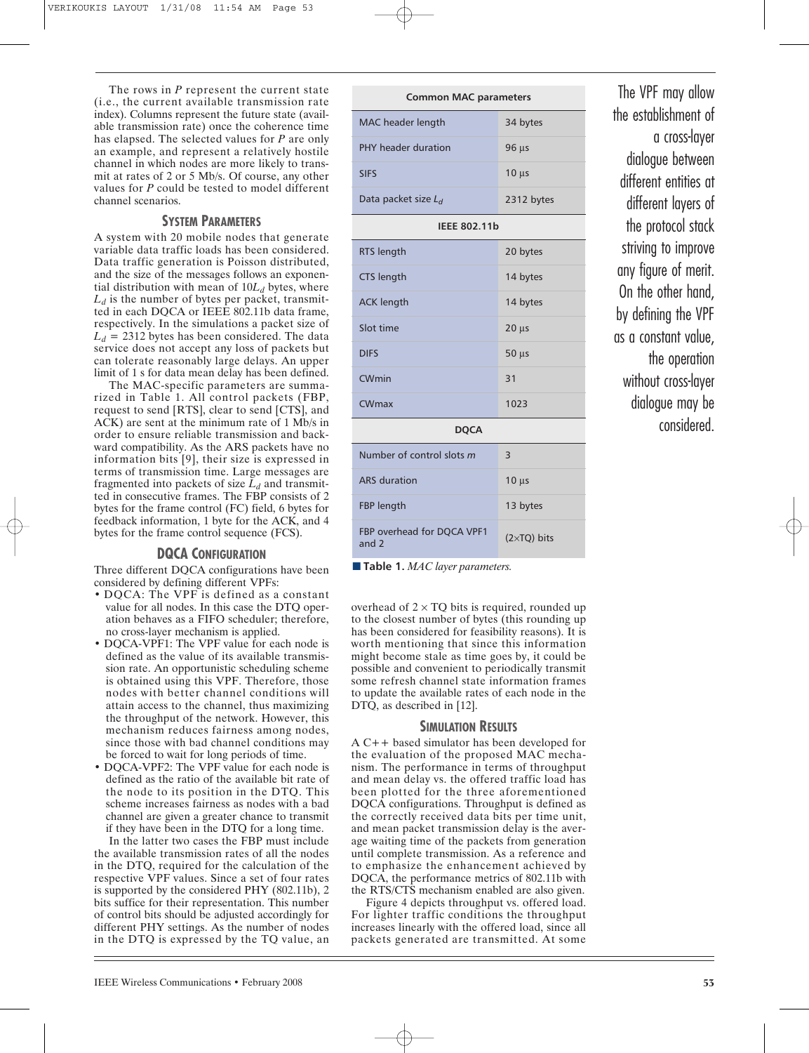The rows in *P* represent the current state (i.e., the current available transmission rate index). Columns represent the future state (available transmission rate) once the coherence time has elapsed. The selected values for *P* are only an example, and represent a relatively hostile channel in which nodes are more likely to transmit at rates of 2 or 5 Mb/s. Of course, any other values for *P* could be tested to model different channel scenarios.

## **SYSTEM PARAMETERS**

A system with 20 mobile nodes that generate variable data traffic loads has been considered. Data traffic generation is Poisson distributed, and the size of the messages follows an exponential distribution with mean of  $10L<sub>d</sub>$  bytes, where  $L_d$  is the number of bytes per packet, transmitted in each DQCA or IEEE 802.11b data frame, respectively. In the simulations a packet size of  $L_d$  = 2312 bytes has been considered. The data service does not accept any loss of packets but can tolerate reasonably large delays. An upper limit of 1 s for data mean delay has been defined.

The MAC-specific parameters are summarized in Table 1. All control packets (FBP, request to send [RTS], clear to send [CTS], and ACK) are sent at the minimum rate of 1 Mb/s in order to ensure reliable transmission and backward compatibility. As the ARS packets have no information bits [9], their size is expressed in terms of transmission time. Large messages are fragmented into packets of size  $\bar{L}_d$  and transmitted in consecutive frames. The FBP consists of 2 bytes for the frame control (FC) field, 6 bytes for feedback information, 1 byte for the ACK, and 4 bytes for the frame control sequence (FCS).

## **DQCA CONFIGURATION**

Three different DQCA configurations have been considered by defining different VPFs:

- DQCA: The VPF is defined as a constant value for all nodes. In this case the DTQ operation behaves as a FIFO scheduler; therefore, no cross-layer mechanism is applied.
- DQCA-VPF1: The VPF value for each node is defined as the value of its available transmission rate. An opportunistic scheduling scheme is obtained using this VPF. Therefore, those nodes with better channel conditions will attain access to the channel, thus maximizing the throughput of the network. However, this mechanism reduces fairness among nodes, since those with bad channel conditions may be forced to wait for long periods of time.
- DQCA-VPF2: The VPF value for each node is defined as the ratio of the available bit rate of the node to its position in the DTQ. This scheme increases fairness as nodes with a bad channel are given a greater chance to transmit if they have been in the DTQ for a long time.

In the latter two cases the FBP must include the available transmission rates of all the nodes in the DTQ, required for the calculation of the respective VPF values. Since a set of four rates is supported by the considered PHY (802.11b), 2 bits suffice for their representation. This number of control bits should be adjusted accordingly for different PHY settings. As the number of nodes in the DTQ is expressed by the TQ value, an

| <b>Common MAC parameters</b> |            |  |  |  |  |  |
|------------------------------|------------|--|--|--|--|--|
| MAC header length            | 34 bytes   |  |  |  |  |  |
| PHY header duration          | 96 µs      |  |  |  |  |  |
| <b>SIFS</b>                  | $10 \mu s$ |  |  |  |  |  |
| Data packet size $L_d$       | 2312 bytes |  |  |  |  |  |
| <b>IEEE 802.11b</b>          |            |  |  |  |  |  |
| RTS length                   | 20 bytes   |  |  |  |  |  |
| <b>CTS</b> length            | 14 bytes   |  |  |  |  |  |
| <b>ACK length</b>            | 14 bytes   |  |  |  |  |  |
| Slot time                    | $20 \mu s$ |  |  |  |  |  |
| <b>DIES</b>                  | $50 \mu s$ |  |  |  |  |  |
| CWmin                        | 31         |  |  |  |  |  |
| <b>CWmax</b>                 | 1023       |  |  |  |  |  |
| <b>DQCA</b>                  |            |  |  |  |  |  |
| Number of control slots m    | 3          |  |  |  |  |  |
| <b>ARS</b> duration          | $10 \mu s$ |  |  |  |  |  |

The VPF may allow the establishment of a cross-layer dialogue between different entities at different layers of the protocol stack striving to improve any figure of merit. On the other hand, by defining the VPF as a constant value, the operation without cross-layer dialogue may be considered.

**■ Table 1.** *MAC layer parameters.*

FBP overhead for DQCA VPF1

FBP length 13 bytes

FBP overhead for DQCA VPFT  $(2\times TQ)$  bits<br>and 2

overhead of  $2 \times TO$  bits is required, rounded up to the closest number of bytes (this rounding up has been considered for feasibility reasons). It is worth mentioning that since this information might become stale as time goes by, it could be possible and convenient to periodically transmit some refresh channel state information frames to update the available rates of each node in the DTQ, as described in [12].

#### **SIMULATION RESULTS**

A C++ based simulator has been developed for the evaluation of the proposed MAC mechanism. The performance in terms of throughput and mean delay vs. the offered traffic load has been plotted for the three aforementioned DQCA configurations. Throughput is defined as the correctly received data bits per time unit, and mean packet transmission delay is the average waiting time of the packets from generation until complete transmission. As a reference and to emphasize the enhancement achieved by DQCA, the performance metrics of 802.11b with the RTS/CTS mechanism enabled are also given.

Figure 4 depicts throughput vs. offered load. For lighter traffic conditions the throughput increases linearly with the offered load, since all packets generated are transmitted. At some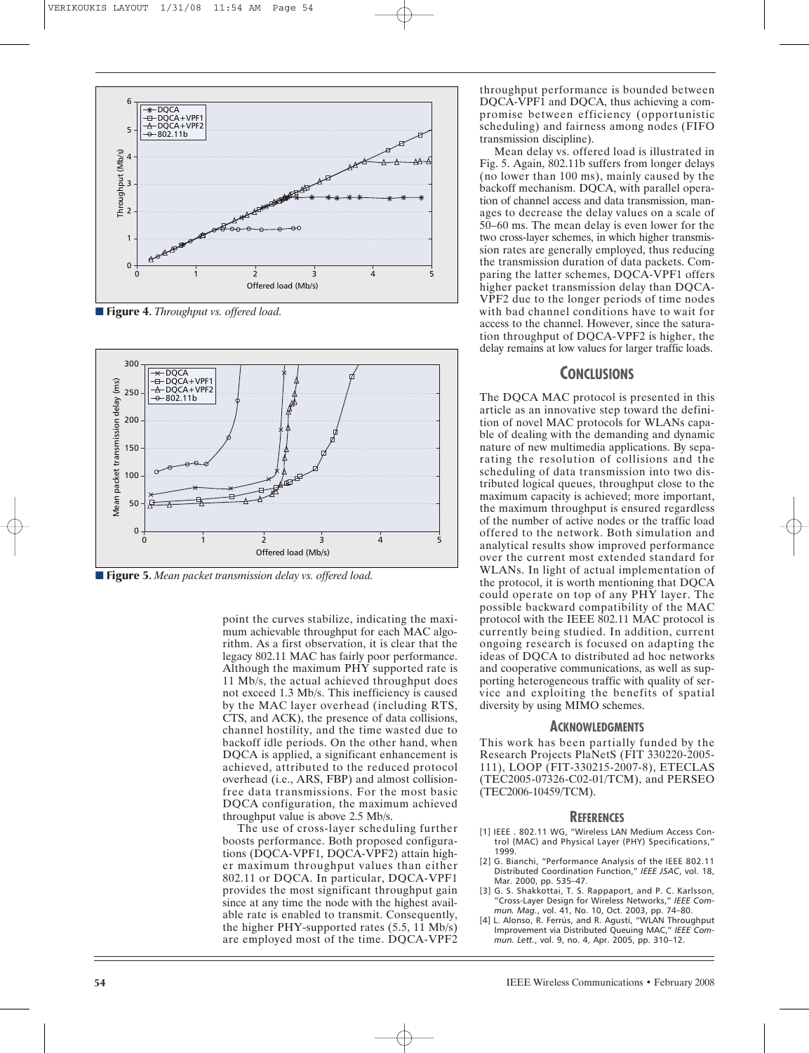

■ **Figure 4.** *Throughput vs. offered load.* 



■ **Figure 5.** *Mean packet transmission delay vs. offered load.* 

point the curves stabilize, indicating the maximum achievable throughput for each MAC algorithm. As a first observation, it is clear that the legacy 802.11 MAC has fairly poor performance. Although the maximum PHY supported rate is 11 Mb/s, the actual achieved throughput does not exceed 1.3 Mb/s. This inefficiency is caused by the MAC layer overhead (including RTS, CTS, and ACK), the presence of data collisions, channel hostility, and the time wasted due to backoff idle periods. On the other hand, when DQCA is applied, a significant enhancement is achieved, attributed to the reduced protocol overhead (i.e., ARS, FBP) and almost collisionfree data transmissions. For the most basic DQCA configuration, the maximum achieved throughput value is above 2.5 Mb/s.

The use of cross-layer scheduling further boosts performance. Both proposed configurations (DQCA-VPF1, DQCA-VPF2) attain higher maximum throughput values than either 802.11 or DQCA. In particular, DQCA-VPF1 provides the most significant throughput gain since at any time the node with the highest available rate is enabled to transmit. Consequently, the higher PHY-supported rates (5.5, 11 Mb/s) are employed most of the time. DQCA-VPF2

throughput performance is bounded between DQCA-VPF1 and DQCA, thus achieving a compromise between efficiency (opportunistic scheduling) and fairness among nodes (FIFO transmission discipline).

Mean delay vs. offered load is illustrated in Fig. 5. Again, 802.11b suffers from longer delays (no lower than 100 ms), mainly caused by the backoff mechanism. DQCA, with parallel operation of channel access and data transmission, manages to decrease the delay values on a scale of 50–60 ms. The mean delay is even lower for the two cross-layer schemes, in which higher transmission rates are generally employed, thus reducing the transmission duration of data packets. Comparing the latter schemes, DQCA-VPF1 offers higher packet transmission delay than DQCA-VPF2 due to the longer periods of time nodes with bad channel conditions have to wait for access to the channel. However, since the saturation throughput of DQCA-VPF2 is higher, the delay remains at low values for larger traffic loads.

## **CONCLUSIONS**

The DQCA MAC protocol is presented in this article as an innovative step toward the definition of novel MAC protocols for WLANs capable of dealing with the demanding and dynamic nature of new multimedia applications. By separating the resolution of collisions and the scheduling of data transmission into two distributed logical queues, throughput close to the maximum capacity is achieved; more important, the maximum throughput is ensured regardless of the number of active nodes or the traffic load offered to the network. Both simulation and analytical results show improved performance over the current most extended standard for WLANs. In light of actual implementation of the protocol, it is worth mentioning that DQCA could operate on top of any PHY layer. The possible backward compatibility of the MAC protocol with the IEEE 802.11 MAC protocol is currently being studied. In addition, current ongoing research is focused on adapting the ideas of DQCA to distributed ad hoc networks and cooperative communications, as well as supporting heterogeneous traffic with quality of service and exploiting the benefits of spatial diversity by using MIMO schemes.

## **ACKNOWLEDGMENTS**

This work has been partially funded by the Research Projects PlaNetS (FIT 330220-2005- 111), LOOP (FIT-330215-2007-8), ETECLAS (TEC2005-07326-C02-01/TCM), and PERSEO (TEC2006-10459/TCM).

## **REFERENCES**

- [1] IEEE . 802.11 WG, "Wireless LAN Medium Access Control (MAC) and Physical Layer (PHY) Specifications," 1999.
- [2] G. Bianchi, "Performance Analysis of the IEEE 802.11 Distributed Coordination Function," *IEEE JSAC*, vol. 18, Mar. 2000, pp. 535–47.
- [3] G. S. Shakkottai, T. S. Rappaport, and P. C. Karlsson, "Cross-Layer Design for Wireless Networks," *IEEE Commun. Mag.*, vol. 41, No. 10, Oct. 2003, pp. 74–80.
- [4] L. Alonso, R. Ferrús, and R. Agustí, "WLAN Throughput Improvement via Distributed Queuing MAC," *IEEE Commun. Lett.*, vol. 9, no. 4, Apr. 2005, pp. 310–12.